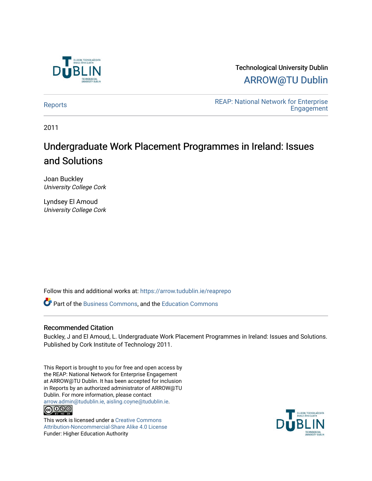

# Technological University Dublin [ARROW@TU Dublin](https://arrow.tudublin.ie/)

REAP: National Network for Enterprise<br>Fraggement **Engagement** 

2011

# Undergraduate Work Placement Programmes in Ireland: Issues and Solutions

Joan Buckley University College Cork

Lyndsey El Amoud University College Cork

Follow this and additional works at: [https://arrow.tudublin.ie/reaprepo](https://arrow.tudublin.ie/reaprepo?utm_source=arrow.tudublin.ie%2Freaprepo%2F13&utm_medium=PDF&utm_campaign=PDFCoverPages) 

**P** Part of the [Business Commons](http://network.bepress.com/hgg/discipline/622?utm_source=arrow.tudublin.ie%2Freaprepo%2F13&utm_medium=PDF&utm_campaign=PDFCoverPages), and the [Education Commons](http://network.bepress.com/hgg/discipline/784?utm_source=arrow.tudublin.ie%2Freaprepo%2F13&utm_medium=PDF&utm_campaign=PDFCoverPages)

# Recommended Citation

Buckley, J and El Amoud, L. Undergraduate Work Placement Programmes in Ireland: Issues and Solutions. Published by Cork Institute of Technology 2011.

This Report is brought to you for free and open access by the REAP: National Network for Enterprise Engagement at ARROW@TU Dublin. It has been accepted for inclusion in Reports by an authorized administrator of ARROW@TU Dublin. For more information, please contact [arrow.admin@tudublin.ie, aisling.coyne@tudublin.ie](mailto:arrow.admin@tudublin.ie,%20aisling.coyne@tudublin.ie).  $\bigcirc$  000

This work is licensed under a [Creative Commons](http://creativecommons.org/licenses/by-nc-sa/4.0/) [Attribution-Noncommercial-Share Alike 4.0 License](http://creativecommons.org/licenses/by-nc-sa/4.0/) Funder: Higher Education Authority

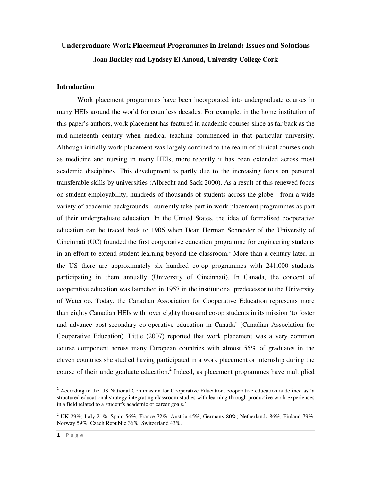# **Undergraduate Work Placement Programmes in Ireland: Issues and Solutions Joan Buckley and Lyndsey El Amoud, University College Cork**

## **Introduction**

Work placement programmes have been incorporated into undergraduate courses in many HEIs around the world for countless decades. For example, in the home institution of this paper's authors, work placement has featured in academic courses since as far back as the mid-nineteenth century when medical teaching commenced in that particular university. Although initially work placement was largely confined to the realm of clinical courses such as medicine and nursing in many HEIs, more recently it has been extended across most academic disciplines. This development is partly due to the increasing focus on personal transferable skills by universities (Albrecht and Sack 2000). As a result of this renewed focus on student employability, hundreds of thousands of students across the globe - from a wide variety of academic backgrounds - currently take part in work placement programmes as part of their undergraduate education. In the United States, the idea of formalised cooperative education can be traced back to 1906 when Dean Herman Schneider of the University of Cincinnati (UC) founded the first cooperative education programme for engineering students in an effort to extend student learning beyond the classroom.<sup>1</sup> More than a century later, in the US there are approximately six hundred co-op programmes with 241,000 students participating in them annually (University of Cincinnati). In Canada, the concept of cooperative education was launched in 1957 in the institutional predecessor to the University of Waterloo. Today, the Canadian Association for Cooperative Education represents more than eighty Canadian HEIs with over eighty thousand co-op students in its mission 'to foster and advance post-secondary co-operative education in Canada' (Canadian Association for Cooperative Education). Little (2007) reported that work placement was a very common course component across many European countries with almost 55% of graduates in the eleven countries she studied having participated in a work placement or internship during the course of their undergraduate education.<sup>2</sup> Indeed, as placement programmes have multiplied

1

<sup>&</sup>lt;sup>1</sup> According to the US National Commission for Cooperative Education, cooperative education is defined as 'a structured educational strategy integrating classroom studies with learning through productive work experiences in a field related to a student's academic or career goals.'

<sup>&</sup>lt;sup>2</sup> UK 29%; Italy 21%; Spain 56%; France 72%; Austria 45%; Germany 80%; Netherlands 86%; Finland 79%; Norway 59%; Czech Republic 36%; Switzerland 43%.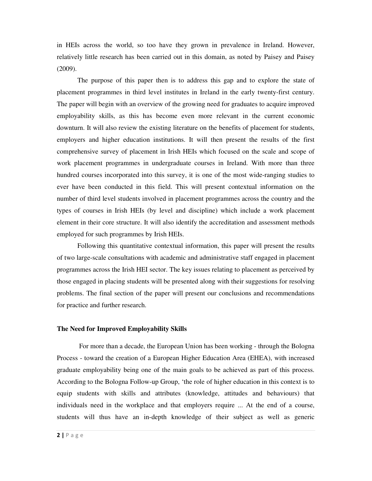in HEIs across the world, so too have they grown in prevalence in Ireland. However, relatively little research has been carried out in this domain, as noted by Paisey and Paisey (2009).

The purpose of this paper then is to address this gap and to explore the state of placement programmes in third level institutes in Ireland in the early twenty-first century. The paper will begin with an overview of the growing need for graduates to acquire improved employability skills, as this has become even more relevant in the current economic downturn. It will also review the existing literature on the benefits of placement for students, employers and higher education institutions. It will then present the results of the first comprehensive survey of placement in Irish HEIs which focused on the scale and scope of work placement programmes in undergraduate courses in Ireland. With more than three hundred courses incorporated into this survey, it is one of the most wide-ranging studies to ever have been conducted in this field. This will present contextual information on the number of third level students involved in placement programmes across the country and the types of courses in Irish HEIs (by level and discipline) which include a work placement element in their core structure. It will also identify the accreditation and assessment methods employed for such programmes by Irish HEIs.

Following this quantitative contextual information, this paper will present the results of two large-scale consultations with academic and administrative staff engaged in placement programmes across the Irish HEI sector. The key issues relating to placement as perceived by those engaged in placing students will be presented along with their suggestions for resolving problems. The final section of the paper will present our conclusions and recommendations for practice and further research.

#### **The Need for Improved Employability Skills**

 For more than a decade, the European Union has been working - through the Bologna Process - toward the creation of a European Higher Education Area (EHEA), with increased graduate employability being one of the main goals to be achieved as part of this process. According to the Bologna Follow-up Group, 'the role of higher education in this context is to equip students with skills and attributes (knowledge, attitudes and behaviours) that individuals need in the workplace and that employers require ... At the end of a course, students will thus have an in-depth knowledge of their subject as well as generic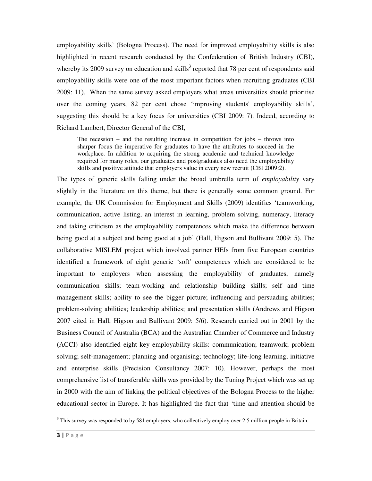employability skills' (Bologna Process). The need for improved employability skills is also highlighted in recent research conducted by the Confederation of British Industry (CBI), whereby its 2009 survey on education and skills<sup>3</sup> reported that 78 per cent of respondents said employability skills were one of the most important factors when recruiting graduates (CBI 2009: 11). When the same survey asked employers what areas universities should prioritise over the coming years, 82 per cent chose 'improving students' employability skills', suggesting this should be a key focus for universities (CBI 2009: 7). Indeed, according to Richard Lambert, Director General of the CBI,

The recession – and the resulting increase in competition for jobs – throws into sharper focus the imperative for graduates to have the attributes to succeed in the workplace. In addition to acquiring the strong academic and technical knowledge required for many roles, our graduates and postgraduates also need the employability skills and positive attitude that employers value in every new recruit (CBI 2009:2).

The types of generic skills falling under the broad umbrella term of *employability* vary slightly in the literature on this theme, but there is generally some common ground. For example, the UK Commission for Employment and Skills (2009) identifies 'teamworking, communication, active listing, an interest in learning, problem solving, numeracy, literacy and taking criticism as the employability competences which make the difference between being good at a subject and being good at a job' (Hall, Higson and Bullivant 2009: 5). The collaborative MISLEM project which involved partner HEIs from five European countries identified a framework of eight generic 'soft' competences which are considered to be important to employers when assessing the employability of graduates, namely communication skills; team-working and relationship building skills; self and time management skills; ability to see the bigger picture; influencing and persuading abilities; problem-solving abilities; leadership abilities; and presentation skills (Andrews and Higson 2007 cited in Hall, Higson and Bullivant 2009: 5/6). Research carried out in 2001 by the Business Council of Australia (BCA) and the Australian Chamber of Commerce and Industry (ACCI) also identified eight key employability skills: communication; teamwork; problem solving; self-management; planning and organising; technology; life-long learning; initiative and enterprise skills (Precision Consultancy 2007: 10). However, perhaps the most comprehensive list of transferable skills was provided by the Tuning Project which was set up in 2000 with the aim of linking the political objectives of the Bologna Process to the higher educational sector in Europe. It has highlighted the fact that 'time and attention should be

 $\overline{a}$ 

<sup>&</sup>lt;sup>3</sup> This survey was responded to by 581 employers, who collectively employ over 2.5 million people in Britain.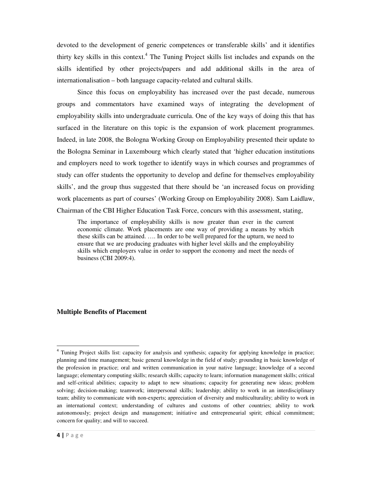devoted to the development of generic competences or transferable skills' and it identifies thirty key skills in this context.<sup>4</sup> The Tuning Project skills list includes and expands on the skills identified by other projects/papers and add additional skills in the area of internationalisation – both language capacity-related and cultural skills.

Since this focus on employability has increased over the past decade, numerous groups and commentators have examined ways of integrating the development of employability skills into undergraduate curricula. One of the key ways of doing this that has surfaced in the literature on this topic is the expansion of work placement programmes. Indeed, in late 2008, the Bologna Working Group on Employability presented their update to the Bologna Seminar in Luxembourg which clearly stated that 'higher education institutions and employers need to work together to identify ways in which courses and programmes of study can offer students the opportunity to develop and define for themselves employability skills', and the group thus suggested that there should be 'an increased focus on providing work placements as part of courses' (Working Group on Employability 2008). Sam Laidlaw, Chairman of the CBI Higher Education Task Force, concurs with this assessment, stating,

The importance of employability skills is now greater than ever in the current economic climate. Work placements are one way of providing a means by which these skills can be attained. …. In order to be well prepared for the upturn, we need to ensure that we are producing graduates with higher level skills and the employability skills which employers value in order to support the economy and meet the needs of business (CBI 2009:4).

### **Multiple Benefits of Placement**

1

<sup>&</sup>lt;sup>4</sup> Tuning Project skills list: capacity for analysis and synthesis; capacity for applying knowledge in practice; planning and time management; basic general knowledge in the field of study; grounding in basic knowledge of the profession in practice; oral and written communication in your native language; knowledge of a second language; elementary computing skills; research skills; capacity to learn; information management skills; critical and self-critical abilities; capacity to adapt to new situations; capacity for generating new ideas; problem solving; decision-making; teamwork; interpersonal skills; leadership; ability to work in an interdisciplinary team; ability to communicate with non-experts; appreciation of diversity and multiculturality; ability to work in an international context; understanding of cultures and customs of other countries; ability to work autonomously; project design and management; initiative and entrepreneurial spirit; ethical commitment; concern for quality; and will to succeed.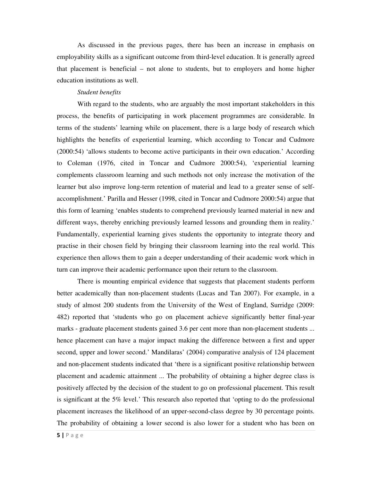As discussed in the previous pages, there has been an increase in emphasis on employability skills as a significant outcome from third-level education. It is generally agreed that placement is beneficial – not alone to students, but to employers and home higher education institutions as well.

#### *Student benefits*

With regard to the students, who are arguably the most important stakeholders in this process, the benefits of participating in work placement programmes are considerable. In terms of the students' learning while on placement, there is a large body of research which highlights the benefits of experiential learning, which according to Toncar and Cudmore (2000:54) 'allows students to become active participants in their own education.' According to Coleman (1976, cited in Toncar and Cudmore 2000:54), 'experiential learning complements classroom learning and such methods not only increase the motivation of the learner but also improve long-term retention of material and lead to a greater sense of selfaccomplishment.' Parilla and Hesser (1998, cited in Toncar and Cudmore 2000:54) argue that this form of learning 'enables students to comprehend previously learned material in new and different ways, thereby enriching previously learned lessons and grounding them in reality.' Fundamentally, experiential learning gives students the opportunity to integrate theory and practise in their chosen field by bringing their classroom learning into the real world. This experience then allows them to gain a deeper understanding of their academic work which in turn can improve their academic performance upon their return to the classroom.

There is mounting empirical evidence that suggests that placement students perform better academically than non-placement students (Lucas and Tan 2007). For example, in a study of almost 200 students from the University of the West of England, Surridge (2009: 482) reported that 'students who go on placement achieve significantly better final-year marks - graduate placement students gained 3.6 per cent more than non-placement students ... hence placement can have a major impact making the difference between a first and upper second, upper and lower second.' Mandilaras' (2004) comparative analysis of 124 placement and non-placement students indicated that 'there is a significant positive relationship between placement and academic attainment ... The probability of obtaining a higher degree class is positively affected by the decision of the student to go on professional placement. This result is significant at the 5% level.' This research also reported that 'opting to do the professional placement increases the likelihood of an upper-second-class degree by 30 percentage points. The probability of obtaining a lower second is also lower for a student who has been on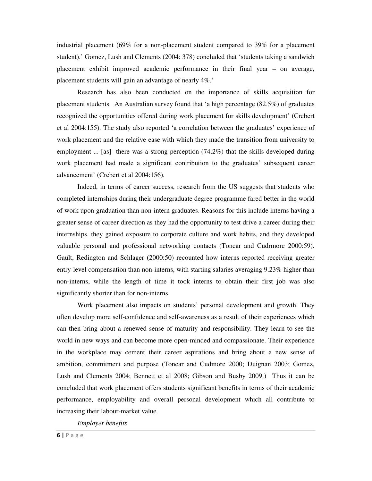industrial placement (69% for a non-placement student compared to 39% for a placement student).' Gomez, Lush and Clements (2004: 378) concluded that 'students taking a sandwich placement exhibit improved academic performance in their final year – on average, placement students will gain an advantage of nearly 4%.'

Research has also been conducted on the importance of skills acquisition for placement students. An Australian survey found that 'a high percentage (82.5%) of graduates recognized the opportunities offered during work placement for skills development' (Crebert et al 2004:155). The study also reported 'a correlation between the graduates' experience of work placement and the relative ease with which they made the transition from university to employment ... [as] there was a strong perception (74.2%) that the skills developed during work placement had made a significant contribution to the graduates' subsequent career advancement' (Crebert et al 2004:156).

Indeed, in terms of career success, research from the US suggests that students who completed internships during their undergraduate degree programme fared better in the world of work upon graduation than non-intern graduates. Reasons for this include interns having a greater sense of career direction as they had the opportunity to test drive a career during their internships, they gained exposure to corporate culture and work habits, and they developed valuable personal and professional networking contacts (Toncar and Cudrmore 2000:59). Gault, Redington and Schlager (2000:50) recounted how interns reported receiving greater entry-level compensation than non-interns, with starting salaries averaging 9.23% higher than non-interns, while the length of time it took interns to obtain their first job was also significantly shorter than for non-interns.

Work placement also impacts on students' personal development and growth. They often develop more self-confidence and self-awareness as a result of their experiences which can then bring about a renewed sense of maturity and responsibility. They learn to see the world in new ways and can become more open-minded and compassionate. Their experience in the workplace may cement their career aspirations and bring about a new sense of ambition, commitment and purpose (Toncar and Cudmore 2000; Duignan 2003; Gomez, Lush and Clements 2004; Bennett et al 2008; Gibson and Busby 2009.) Thus it can be concluded that work placement offers students significant benefits in terms of their academic performance, employability and overall personal development which all contribute to increasing their labour-market value.

*Employer benefits*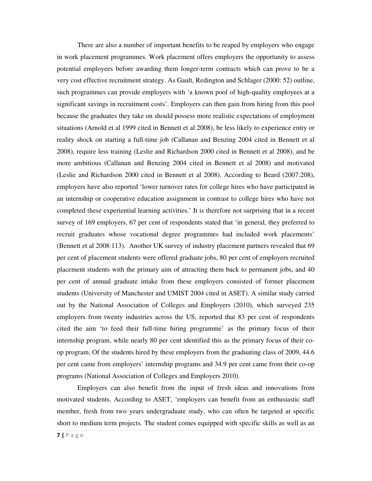There are also a number of important benefits to be reaped by employers who engage in work placement programmes. Work placement offers employers the opportunity to assess potential employees before awarding them longer-term contracts which can prove to be a very cost effective recruitment strategy. As Gault, Redington and Schlager (2000: 52) outline, such programmes can provide employers with 'a known pool of high-quality employees at a significant savings in recruitment costs'. Employers can then gain from hiring from this pool because the graduates they take on should possess more realistic expectations of employment situations (Arnold et al 1999 cited in Bennett et al 2008), be less likely to experience entry or reality shock on starting a full-time job (Callanan and Benzing 2004 cited in Bennett et al 2008), require less training (Leslie and Richardson 2000 cited in Bennett et al 2008), and be more ambitious (Callanan and Benzing 2004 cited in Bennett et al 2008) and motivated (Leslie and Richardson 2000 cited in Bennett et al 2008). According to Beard (2007:208), employers have also reported 'lower turnover rates for college hires who have participated in an internship or cooperative education assignment in contrast to college hires who have not completed these experiential learning activities.' It is therefore not surprising that in a recent survey of 169 employers, 67 per cent of respondents stated that 'in general, they preferred to recruit graduates whose vocational degree programmes had included work placements' (Bennett et al 2008:113). Another UK survey of industry placement partners revealed that 69 per cent of placement students were offered graduate jobs, 80 per cent of employers recruited placement students with the primary aim of attracting them back to permanent jobs, and 40 per cent of annual graduate intake from these employers consisted of former placement students (University of Manchester and UMIST 2004 cited in ASET). A similar study carried out by the National Association of Colleges and Employers (2010), which surveyed 235 employers from twenty industries across the US, reported that 83 per cent of respondents cited the aim 'to feed their full-time hiring programme' as the primary focus of their internship program, while nearly 80 per cent identified this as the primary focus of their coop program. Of the students hired by these employers from the graduating class of 2009, 44.6 per cent came from employers' internship programs and 34.9 per cent came from their co-op programs (National Association of Colleges and Employers 2010).

Employers can also benefit from the input of fresh ideas and innovations from motivated students. According to ASET, 'employers can benefit from an enthusiastic staff member, fresh from two years undergraduate study, who can often be targeted at specific short to medium term projects. The student comes equipped with specific skills as well as an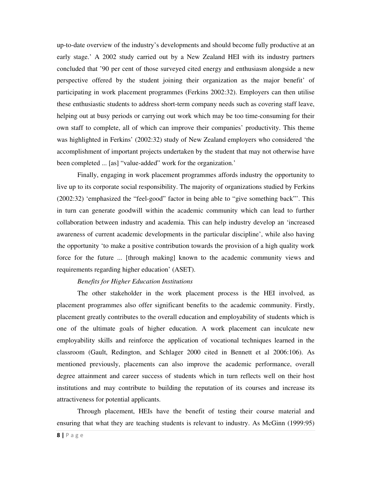up-to-date overview of the industry's developments and should become fully productive at an early stage.' A 2002 study carried out by a New Zealand HEI with its industry partners concluded that '90 per cent of those surveyed cited energy and enthusiasm alongside a new perspective offered by the student joining their organization as the major benefit' of participating in work placement programmes (Ferkins 2002:32). Employers can then utilise these enthusiastic students to address short-term company needs such as covering staff leave, helping out at busy periods or carrying out work which may be too time-consuming for their own staff to complete, all of which can improve their companies' productivity. This theme was highlighted in Ferkins' (2002:32) study of New Zealand employers who considered 'the accomplishment of important projects undertaken by the student that may not otherwise have been completed ... [as] "value-added" work for the organization.'

Finally, engaging in work placement programmes affords industry the opportunity to live up to its corporate social responsibility. The majority of organizations studied by Ferkins (2002:32) 'emphasized the "feel-good" factor in being able to "give something back"'. This in turn can generate goodwill within the academic community which can lead to further collaboration between industry and academia. This can help industry develop an 'increased awareness of current academic developments in the particular discipline', while also having the opportunity 'to make a positive contribution towards the provision of a high quality work force for the future ... [through making] known to the academic community views and requirements regarding higher education' (ASET).

#### *Benefits for Higher Education Institutions*

The other stakeholder in the work placement process is the HEI involved, as placement programmes also offer significant benefits to the academic community. Firstly, placement greatly contributes to the overall education and employability of students which is one of the ultimate goals of higher education. A work placement can inculcate new employability skills and reinforce the application of vocational techniques learned in the classroom (Gault, Redington, and Schlager 2000 cited in Bennett et al 2006:106). As mentioned previously, placements can also improve the academic performance, overall degree attainment and career success of students which in turn reflects well on their host institutions and may contribute to building the reputation of its courses and increase its attractiveness for potential applicants.

Through placement, HEIs have the benefit of testing their course material and ensuring that what they are teaching students is relevant to industry. As McGinn (1999:95)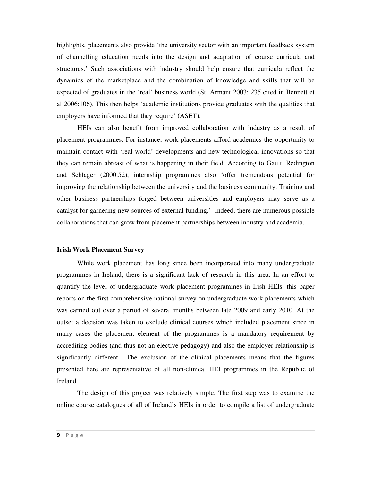highlights, placements also provide 'the university sector with an important feedback system of channelling education needs into the design and adaptation of course curricula and structures.' Such associations with industry should help ensure that curricula reflect the dynamics of the marketplace and the combination of knowledge and skills that will be expected of graduates in the 'real' business world (St. Armant 2003: 235 cited in Bennett et al 2006:106). This then helps 'academic institutions provide graduates with the qualities that employers have informed that they require' (ASET).

HEIs can also benefit from improved collaboration with industry as a result of placement programmes. For instance, work placements afford academics the opportunity to maintain contact with 'real world' developments and new technological innovations so that they can remain abreast of what is happening in their field. According to Gault, Redington and Schlager (2000:52), internship programmes also 'offer tremendous potential for improving the relationship between the university and the business community. Training and other business partnerships forged between universities and employers may serve as a catalyst for garnering new sources of external funding.' Indeed, there are numerous possible collaborations that can grow from placement partnerships between industry and academia.

#### **Irish Work Placement Survey**

While work placement has long since been incorporated into many undergraduate programmes in Ireland, there is a significant lack of research in this area. In an effort to quantify the level of undergraduate work placement programmes in Irish HEIs, this paper reports on the first comprehensive national survey on undergraduate work placements which was carried out over a period of several months between late 2009 and early 2010. At the outset a decision was taken to exclude clinical courses which included placement since in many cases the placement element of the programmes is a mandatory requirement by accrediting bodies (and thus not an elective pedagogy) and also the employer relationship is significantly different. The exclusion of the clinical placements means that the figures presented here are representative of all non-clinical HEI programmes in the Republic of Ireland.

The design of this project was relatively simple. The first step was to examine the online course catalogues of all of Ireland's HEIs in order to compile a list of undergraduate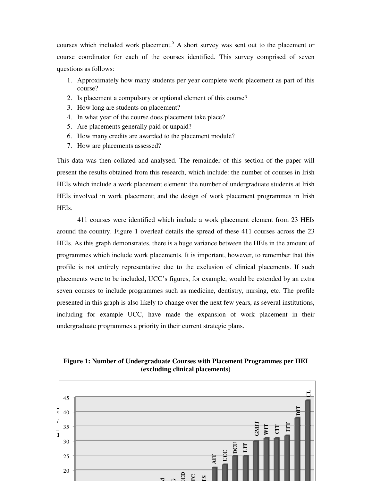courses which included work placement.<sup>5</sup> A short survey was sent out to the placement or course coordinator for each of the courses identified. This survey comprised of seven questions as follows:

- 1. Approximately how many students per year complete work placement as part of this course?
- 2. Is placement a compulsory or optional element of this course?
- 3. How long are students on placement?
- 4. In what year of the course does placement take place?
- 5. Are placements generally paid or unpaid?
- 6. How many credits are awarded to the placement module?
- 7. How are placements assessed?

This data was then collated and analysed. The remainder of this section of the paper will present the results obtained from this research, which include: the number of courses in Irish HEIs which include a work placement element; the number of undergraduate students at Irish HEIs involved in work placement; and the design of work placement programmes in Irish HEIs.

411 courses were identified which include a work placement element from 23 HEIs around the country. Figure 1 overleaf details the spread of these 411 courses across the 23 HEIs. As this graph demonstrates, there is a huge variance between the HEIs in the amount of programmes which include work placements. It is important, however, to remember that this profile is not entirely representative due to the exclusion of clinical placements. If such placements were to be included, UCC's figures, for example, would be extended by an extra seven courses to include programmes such as medicine, dentistry, nursing, etc. The profile presented in this graph is also likely to change over the next few years, as several institutions, including for example UCC, have made the expansion of work placement in their undergraduate programmes a priority in their current strategic plans.



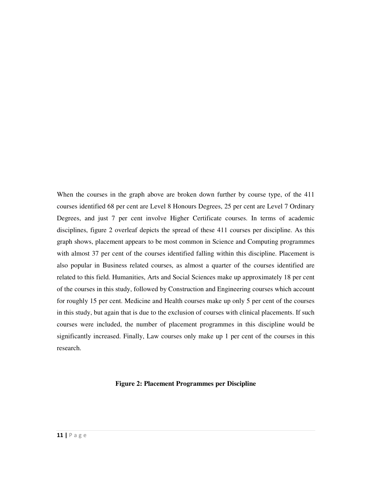When the courses in the graph above are broken down further by course type, of the 411 courses identified 68 per cent are Level 8 Honours Degrees, 25 per cent are Level 7 Ordinary Degrees, and just 7 per cent involve Higher Certificate courses. In terms of academic disciplines, figure 2 overleaf depicts the spread of these 411 courses per discipline. As this graph shows, placement appears to be most common in Science and Computing programmes with almost 37 per cent of the courses identified falling within this discipline. Placement is also popular in Business related courses, as almost a quarter of the courses identified are related to this field. Humanities, Arts and Social Sciences make up approximately 18 per cent of the courses in this study, followed by Construction and Engineering courses which account for roughly 15 per cent. Medicine and Health courses make up only 5 per cent of the courses in this study, but again that is due to the exclusion of courses with clinical placements. If such courses were included, the number of placement programmes in this discipline would be significantly increased. Finally, Law courses only make up 1 per cent of the courses in this research.

#### **Figure 2: Placement Programmes per Discipline**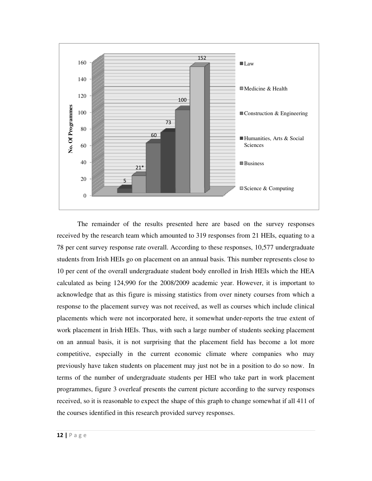

The remainder of the results presented here are based on the survey responses received by the research team which amounted to 319 responses from 21 HEIs, equating to a 78 per cent survey response rate overall. According to these responses, 10,577 undergraduate students from Irish HEIs go on placement on an annual basis. This number represents close to 10 per cent of the overall undergraduate student body enrolled in Irish HEIs which the HEA calculated as being 124,990 for the 2008/2009 academic year. However, it is important to acknowledge that as this figure is missing statistics from over ninety courses from which a response to the placement survey was not received, as well as courses which include clinical placements which were not incorporated here, it somewhat under-reports the true extent of work placement in Irish HEIs. Thus, with such a large number of students seeking placement on an annual basis, it is not surprising that the placement field has become a lot more competitive, especially in the current economic climate where companies who may previously have taken students on placement may just not be in a position to do so now. In terms of the number of undergraduate students per HEI who take part in work placement programmes, figure 3 overleaf presents the current picture according to the survey responses received, so it is reasonable to expect the shape of this graph to change somewhat if all 411 of the courses identified in this research provided survey responses.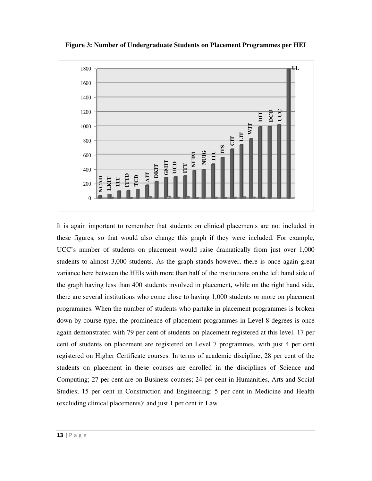

**Figure 3: Number of Undergraduate Students on Placement Programmes per HEI** 

It is again important to remember that students on clinical placements are not included in these figures, so that would also change this graph if they were included. For example, UCC's number of students on placement would raise dramatically from just over 1,000 students to almost 3,000 students. As the graph stands however, there is once again great variance here between the HEIs with more than half of the institutions on the left hand side of the graph having less than 400 students involved in placement, while on the right hand side, there are several institutions who come close to having 1,000 students or more on placement programmes. When the number of students who partake in placement programmes is broken down by course type, the prominence of placement programmes in Level 8 degrees is once again demonstrated with 79 per cent of students on placement registered at this level. 17 per cent of students on placement are registered on Level 7 programmes, with just 4 per cent registered on Higher Certificate courses. In terms of academic discipline, 28 per cent of the students on placement in these courses are enrolled in the disciplines of Science and Computing; 27 per cent are on Business courses; 24 per cent in Humanities, Arts and Social Studies; 15 per cent in Construction and Engineering; 5 per cent in Medicine and Health (excluding clinical placements); and just 1 per cent in Law.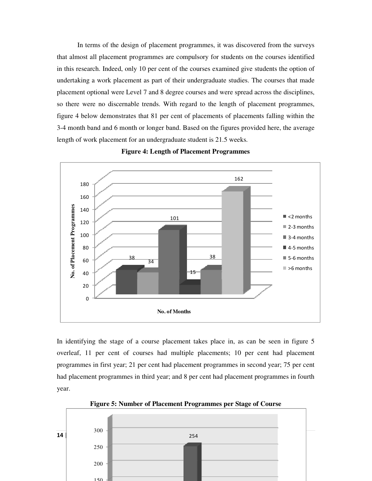In terms of the design of placement programmes, it was discovered from the surveys that almost all placement programmes are compulsory for students on the courses identified in this research. Indeed, only 10 per cent of the courses examined give students the option of undertaking a work placement as part of their undergraduate studies. The courses that made placement optional were Level 7 and 8 degree courses and were spread across the disciplines, so there were no discernable trends. With regard to the length of placement programmes, figure 4 below demonstrates that 81 per cent of placements of placements falling within the 3-4 month band and 6 month or longer band. Based on the figures provided here, the average length of work placement for an undergraduate student is 21.5 weeks.



**Figure 4: Length of Placement Programmes** 

In identifying the stage of a course placement takes place in, as can be seen in figure 5 overleaf, 11 per cent of courses had multiple placements; 10 per cent had placement programmes in first year; 21 per cent had placement programmes in second year; 75 per cent had placement programmes in third year; and 8 per cent had placement programmes in fourth year.



**Figure 5: Number of Placement Programmes per Stage of Course**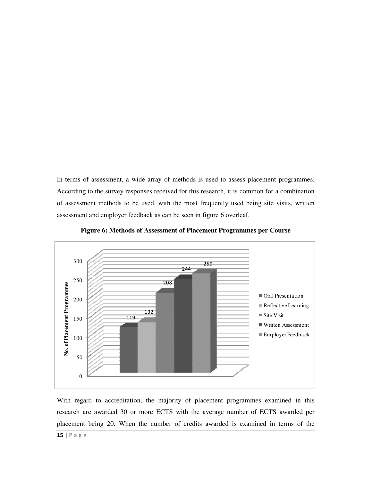In terms of assessment, a wide array of methods is used to assess placement programmes. According to the survey responses received for this research, it is common for a combination of assessment methods to be used, with the most frequently used being site visits, written assessment and employer feedback as can be seen in figure 6 overleaf.



**Figure 6: Methods of Assessment of Placement Programmes per Course** 

15 | P a g e With regard to accreditation, the majority of placement programmes examined in this research are awarded 30 or more ECTS with the average number of ECTS awarded per placement being 20. When the number of credits awarded is examined in terms of the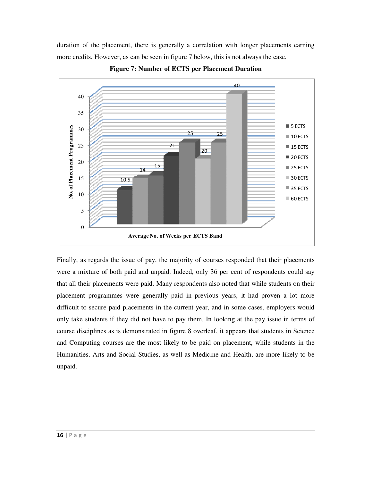duration of the placement, there is generally a correlation with longer placements earning more credits. However, as can be seen in figure 7 below, this is not always the case.



**Figure 7: Number of ECTS per Placement Duration**

Finally, as regards the issue of pay, the majority of courses responded that their placements were a mixture of both paid and unpaid. Indeed, only 36 per cent of respondents could say that all their placements were paid. Many respondents also noted that while students on their placement programmes were generally paid in previous years, it had proven a lot more difficult to secure paid placements in the current year, and in some cases, employers would only take students if they did not have to pay them. In looking at the pay issue in terms of course disciplines as is demonstrated in figure 8 overleaf, it appears that students in Science and Computing courses are the most likely to be paid on placement, while students in the Humanities, Arts and Social Studies, as well as Medicine and Health, are more likely to be unpaid.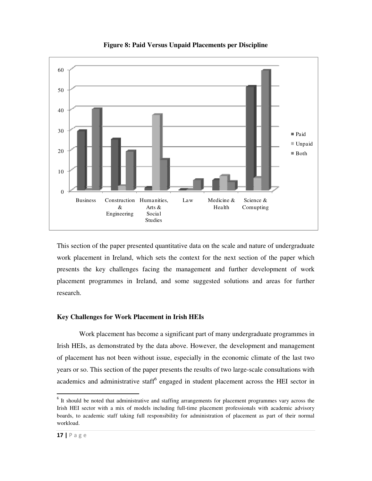

# **Figure 8: Paid Versus Unpaid Placements per Discipline**

This section of the paper presented quantitative data on the scale and nature of undergraduate work placement in Ireland, which sets the context for the next section of the paper which presents the key challenges facing the management and further development of work placement programmes in Ireland, and some suggested solutions and areas for further research.

### **Key Challenges for Work Placement in Irish HEIs**

 Work placement has become a significant part of many undergraduate programmes in Irish HEIs, as demonstrated by the data above. However, the development and management of placement has not been without issue, especially in the economic climate of the last two years or so. This section of the paper presents the results of two large-scale consultations with academics and administrative staff<sup>6</sup> engaged in student placement across the HEI sector in

1

<sup>&</sup>lt;sup>6</sup> It should be noted that administrative and staffing arrangements for placement programmes vary across the Irish HEI sector with a mix of models including full-time placement professionals with academic advisory boards, to academic staff taking full responsibility for administration of placement as part of their normal workload.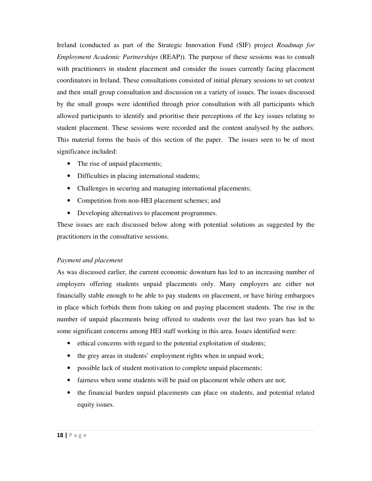Ireland (conducted as part of the Strategic Innovation Fund (SIF) project *Roadmap for Employment Academic Partnerships* (REAP)). The purpose of these sessions was to consult with practitioners in student placement and consider the issues currently facing placement coordinators in Ireland. These consultations consisted of initial plenary sessions to set context and then small group consultation and discussion on a variety of issues. The issues discussed by the small groups were identified through prior consultation with all participants which allowed participants to identify and prioritise their perceptions of the key issues relating to student placement. These sessions were recorded and the content analysed by the authors. This material forms the basis of this section of the paper. The issues seen to be of most significance included:

- The rise of unpaid placements;
- Difficulties in placing international students;
- Challenges in securing and managing international placements;
- Competition from non-HEI placement schemes; and
- Developing alternatives to placement programmes.

These issues are each discussed below along with potential solutions as suggested by the practitioners in the consultative sessions.

### *Payment and placement*

As was discussed earlier, the current economic downturn has led to an increasing number of employers offering students unpaid placements only. Many employers are either not financially stable enough to be able to pay students on placement, or have hiring embargoes in place which forbids them from taking on and paying placement students. The rise in the number of unpaid placements being offered to students over the last two years has led to some significant concerns among HEI staff working in this area. Issues identified were:

- ethical concerns with regard to the potential exploitation of students;
- the grey areas in students' employment rights when in unpaid work;
- possible lack of student motivation to complete unpaid placements;
- fairness when some students will be paid on placement while others are not;
- the financial burden unpaid placements can place on students, and potential related equity issues.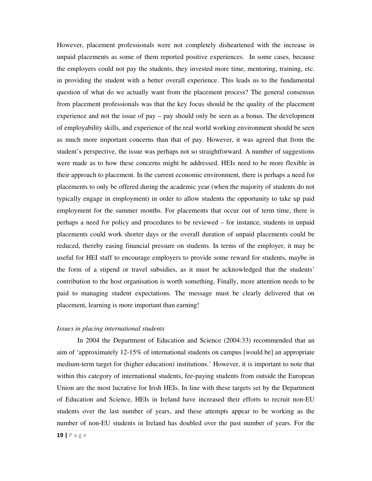However, placement professionals were not completely disheartened with the increase in unpaid placements as some of them reported positive experiences. In some cases, because the employers could not pay the students, they invested more time, mentoring, training, etc. in providing the student with a better overall experience. This leads us to the fundamental question of what do we actually want from the placement process? The general consensus from placement professionals was that the key focus should be the quality of the placement experience and not the issue of pay – pay should only be seen as a bonus. The development of employability skills, and experience of the real world working environment should be seen as much more important concerns than that of pay. However, it was agreed that from the student's perspective, the issue was perhaps not so straightforward. A number of suggestions were made as to how these concerns might be addressed. HEIs need to be more flexible in their approach to placement. In the current economic environment, there is perhaps a need for placements to only be offered during the academic year (when the majority of students do not typically engage in employment) in order to allow students the opportunity to take up paid employment for the summer months. For placements that occur out of term time, there is perhaps a need for policy and procedures to be reviewed – for instance, students in unpaid placements could work shorter days or the overall duration of unpaid placements could be reduced, thereby easing financial pressure on students. In terms of the employer, it may be useful for HEI staff to encourage employers to provide some reward for students, maybe in the form of a stipend or travel subsidies, as it must be acknowledged that the students' contribution to the host organisation is worth something. Finally, more attention needs to be paid to managing student expectations. The message must be clearly delivered that on placement, learning is more important than earning!

#### *Issues in placing international students*

 In 2004 the Department of Education and Science (2004:33) recommended that an aim of 'approximately 12-15% of international students on campus [would be] an appropriate medium-term target for (higher education) institutions.' However, it is important to note that within this category of international students, fee-paying students from outside the European Union are the most lucrative for Irish HEIs. In line with these targets set by the Department of Education and Science, HEIs in Ireland have increased their efforts to recruit non-EU students over the last number of years, and these attempts appear to be working as the number of non-EU students in Ireland has doubled over the past number of years. For the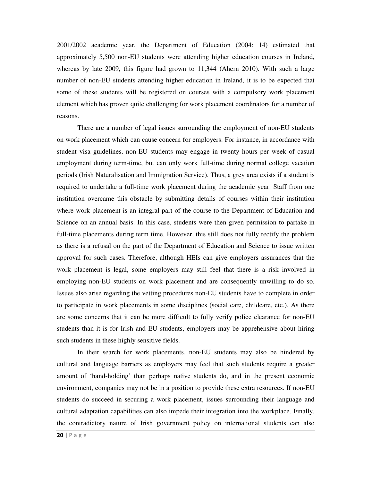2001/2002 academic year, the Department of Education (2004: 14) estimated that approximately 5,500 non-EU students were attending higher education courses in Ireland, whereas by late 2009, this figure had grown to 11,344 (Ahern 2010). With such a large number of non-EU students attending higher education in Ireland, it is to be expected that some of these students will be registered on courses with a compulsory work placement element which has proven quite challenging for work placement coordinators for a number of reasons.

There are a number of legal issues surrounding the employment of non-EU students on work placement which can cause concern for employers. For instance, in accordance with student visa guidelines, non-EU students may engage in twenty hours per week of casual employment during term-time, but can only work full-time during normal college vacation periods (Irish Naturalisation and Immigration Service). Thus, a grey area exists if a student is required to undertake a full-time work placement during the academic year. Staff from one institution overcame this obstacle by submitting details of courses within their institution where work placement is an integral part of the course to the Department of Education and Science on an annual basis. In this case, students were then given permission to partake in full-time placements during term time. However, this still does not fully rectify the problem as there is a refusal on the part of the Department of Education and Science to issue written approval for such cases. Therefore, although HEIs can give employers assurances that the work placement is legal, some employers may still feel that there is a risk involved in employing non-EU students on work placement and are consequently unwilling to do so. Issues also arise regarding the vetting procedures non-EU students have to complete in order to participate in work placements in some disciplines (social care, childcare, etc.). As there are some concerns that it can be more difficult to fully verify police clearance for non-EU students than it is for Irish and EU students, employers may be apprehensive about hiring such students in these highly sensitive fields.

In their search for work placements, non-EU students may also be hindered by cultural and language barriers as employers may feel that such students require a greater amount of 'hand-holding' than perhaps native students do, and in the present economic environment, companies may not be in a position to provide these extra resources. If non-EU students do succeed in securing a work placement, issues surrounding their language and cultural adaptation capabilities can also impede their integration into the workplace. Finally, the contradictory nature of Irish government policy on international students can also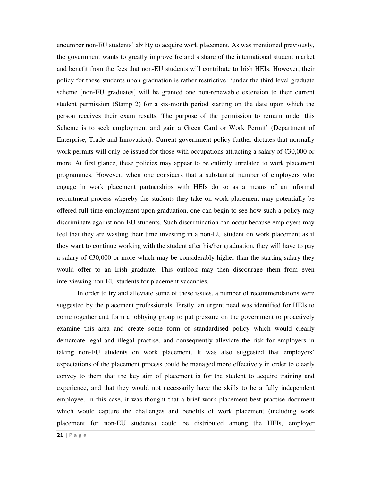encumber non-EU students' ability to acquire work placement. As was mentioned previously, the government wants to greatly improve Ireland's share of the international student market and benefit from the fees that non-EU students will contribute to Irish HEIs. However, their policy for these students upon graduation is rather restrictive: 'under the third level graduate scheme [non-EU graduates] will be granted one non-renewable extension to their current student permission (Stamp 2) for a six-month period starting on the date upon which the person receives their exam results. The purpose of the permission to remain under this Scheme is to seek employment and gain a Green Card or Work Permit' (Department of Enterprise, Trade and Innovation). Current government policy further dictates that normally work permits will only be issued for those with occupations attracting a salary of €30,000 or more. At first glance, these policies may appear to be entirely unrelated to work placement programmes. However, when one considers that a substantial number of employers who engage in work placement partnerships with HEIs do so as a means of an informal recruitment process whereby the students they take on work placement may potentially be offered full-time employment upon graduation, one can begin to see how such a policy may discriminate against non-EU students. Such discrimination can occur because employers may feel that they are wasting their time investing in a non-EU student on work placement as if they want to continue working with the student after his/her graduation, they will have to pay a salary of  $\epsilon$ 30,000 or more which may be considerably higher than the starting salary they would offer to an Irish graduate. This outlook may then discourage them from even interviewing non-EU students for placement vacancies.

In order to try and alleviate some of these issues, a number of recommendations were suggested by the placement professionals. Firstly, an urgent need was identified for HEIs to come together and form a lobbying group to put pressure on the government to proactively examine this area and create some form of standardised policy which would clearly demarcate legal and illegal practise, and consequently alleviate the risk for employers in taking non-EU students on work placement. It was also suggested that employers' expectations of the placement process could be managed more effectively in order to clearly convey to them that the key aim of placement is for the student to acquire training and experience, and that they would not necessarily have the skills to be a fully independent employee. In this case, it was thought that a brief work placement best practise document which would capture the challenges and benefits of work placement (including work placement for non-EU students) could be distributed among the HEIs, employer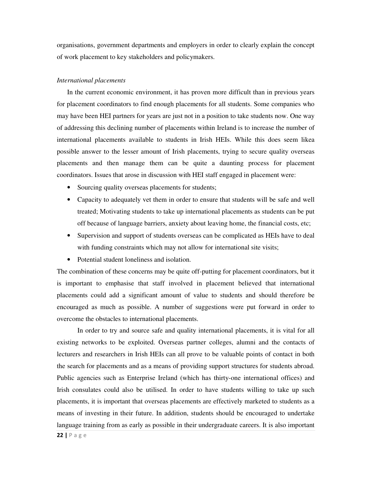organisations, government departments and employers in order to clearly explain the concept of work placement to key stakeholders and policymakers.

#### *International placements*

In the current economic environment, it has proven more difficult than in previous years for placement coordinators to find enough placements for all students. Some companies who may have been HEI partners for years are just not in a position to take students now. One way of addressing this declining number of placements within Ireland is to increase the number of international placements available to students in Irish HEIs. While this does seem likea possible answer to the lesser amount of Irish placements, trying to secure quality overseas placements and then manage them can be quite a daunting process for placement coordinators. Issues that arose in discussion with HEI staff engaged in placement were:

- Sourcing quality overseas placements for students;
- Capacity to adequately vet them in order to ensure that students will be safe and well treated; Motivating students to take up international placements as students can be put off because of language barriers, anxiety about leaving home, the financial costs, etc;
- Supervision and support of students overseas can be complicated as HEIs have to deal with funding constraints which may not allow for international site visits;
- Potential student loneliness and isolation.

The combination of these concerns may be quite off-putting for placement coordinators, but it is important to emphasise that staff involved in placement believed that international placements could add a significant amount of value to students and should therefore be encouraged as much as possible. A number of suggestions were put forward in order to overcome the obstacles to international placements.

22 | P a g e In order to try and source safe and quality international placements, it is vital for all existing networks to be exploited. Overseas partner colleges, alumni and the contacts of lecturers and researchers in Irish HEIs can all prove to be valuable points of contact in both the search for placements and as a means of providing support structures for students abroad. Public agencies such as Enterprise Ireland (which has thirty-one international offices) and Irish consulates could also be utilised. In order to have students willing to take up such placements, it is important that overseas placements are effectively marketed to students as a means of investing in their future. In addition, students should be encouraged to undertake language training from as early as possible in their undergraduate careers. It is also important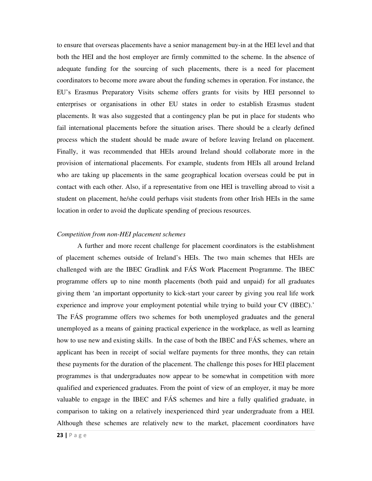to ensure that overseas placements have a senior management buy-in at the HEI level and that both the HEI and the host employer are firmly committed to the scheme. In the absence of adequate funding for the sourcing of such placements, there is a need for placement coordinators to become more aware about the funding schemes in operation. For instance, the EU's Erasmus Preparatory Visits scheme offers grants for visits by HEI personnel to enterprises or organisations in other EU states in order to establish Erasmus student placements. It was also suggested that a contingency plan be put in place for students who fail international placements before the situation arises. There should be a clearly defined process which the student should be made aware of before leaving Ireland on placement. Finally, it was recommended that HEIs around Ireland should collaborate more in the provision of international placements. For example, students from HEIs all around Ireland who are taking up placements in the same geographical location overseas could be put in contact with each other. Also, if a representative from one HEI is travelling abroad to visit a student on placement, he/she could perhaps visit students from other Irish HEIs in the same location in order to avoid the duplicate spending of precious resources.

#### *Competition from non-HEI placement schemes*

A further and more recent challenge for placement coordinators is the establishment of placement schemes outside of Ireland's HEIs. The two main schemes that HEIs are challenged with are the IBEC Gradlink and FÁS Work Placement Programme. The IBEC programme offers up to nine month placements (both paid and unpaid) for all graduates giving them 'an important opportunity to kick-start your career by giving you real life work experience and improve your employment potential while trying to build your CV (IBEC).' The FÁS programme offers two schemes for both unemployed graduates and the general unemployed as a means of gaining practical experience in the workplace, as well as learning how to use new and existing skills. In the case of both the IBEC and FÁS schemes, where an applicant has been in receipt of social welfare payments for three months, they can retain these payments for the duration of the placement. The challenge this poses for HEI placement programmes is that undergraduates now appear to be somewhat in competition with more qualified and experienced graduates. From the point of view of an employer, it may be more valuable to engage in the IBEC and FÁS schemes and hire a fully qualified graduate, in comparison to taking on a relatively inexperienced third year undergraduate from a HEI. Although these schemes are relatively new to the market, placement coordinators have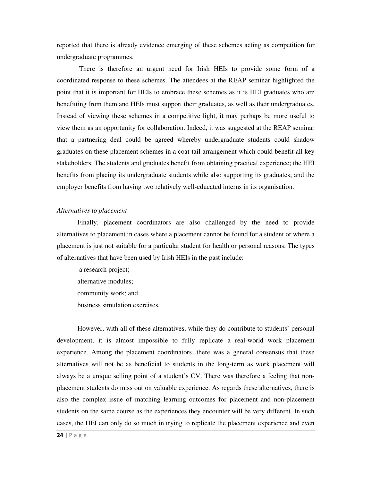reported that there is already evidence emerging of these schemes acting as competition for undergraduate programmes.

 There is therefore an urgent need for Irish HEIs to provide some form of a coordinated response to these schemes. The attendees at the REAP seminar highlighted the point that it is important for HEIs to embrace these schemes as it is HEI graduates who are benefitting from them and HEIs must support their graduates, as well as their undergraduates. Instead of viewing these schemes in a competitive light, it may perhaps be more useful to view them as an opportunity for collaboration. Indeed, it was suggested at the REAP seminar that a partnering deal could be agreed whereby undergraduate students could shadow graduates on these placement schemes in a coat-tail arrangement which could benefit all key stakeholders. The students and graduates benefit from obtaining practical experience; the HEI benefits from placing its undergraduate students while also supporting its graduates; and the employer benefits from having two relatively well-educated interns in its organisation.

#### *Alternatives to placement*

Finally, placement coordinators are also challenged by the need to provide alternatives to placement in cases where a placement cannot be found for a student or where a placement is just not suitable for a particular student for health or personal reasons. The types of alternatives that have been used by Irish HEIs in the past include:

 a research project; alternative modules; community work; and business simulation exercises.

However, with all of these alternatives, while they do contribute to students' personal development, it is almost impossible to fully replicate a real-world work placement experience. Among the placement coordinators, there was a general consensus that these alternatives will not be as beneficial to students in the long-term as work placement will always be a unique selling point of a student's CV. There was therefore a feeling that nonplacement students do miss out on valuable experience. As regards these alternatives, there is also the complex issue of matching learning outcomes for placement and non-placement students on the same course as the experiences they encounter will be very different. In such cases, the HEI can only do so much in trying to replicate the placement experience and even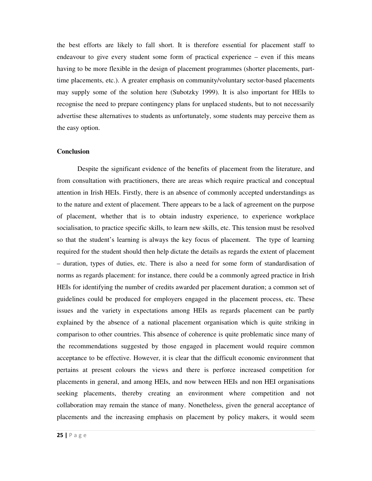the best efforts are likely to fall short. It is therefore essential for placement staff to endeavour to give every student some form of practical experience – even if this means having to be more flexible in the design of placement programmes (shorter placements, parttime placements, etc.). A greater emphasis on community/voluntary sector-based placements may supply some of the solution here (Subotzky 1999). It is also important for HEIs to recognise the need to prepare contingency plans for unplaced students, but to not necessarily advertise these alternatives to students as unfortunately, some students may perceive them as the easy option.

### **Conclusion**

 Despite the significant evidence of the benefits of placement from the literature, and from consultation with practitioners, there are areas which require practical and conceptual attention in Irish HEIs. Firstly, there is an absence of commonly accepted understandings as to the nature and extent of placement. There appears to be a lack of agreement on the purpose of placement, whether that is to obtain industry experience, to experience workplace socialisation, to practice specific skills, to learn new skills, etc. This tension must be resolved so that the student's learning is always the key focus of placement. The type of learning required for the student should then help dictate the details as regards the extent of placement – duration, types of duties, etc. There is also a need for some form of standardisation of norms as regards placement: for instance, there could be a commonly agreed practice in Irish HEIs for identifying the number of credits awarded per placement duration; a common set of guidelines could be produced for employers engaged in the placement process, etc. These issues and the variety in expectations among HEIs as regards placement can be partly explained by the absence of a national placement organisation which is quite striking in comparison to other countries. This absence of coherence is quite problematic since many of the recommendations suggested by those engaged in placement would require common acceptance to be effective. However, it is clear that the difficult economic environment that pertains at present colours the views and there is perforce increased competition for placements in general, and among HEIs, and now between HEIs and non HEI organisations seeking placements, thereby creating an environment where competition and not collaboration may remain the stance of many. Nonetheless, given the general acceptance of placements and the increasing emphasis on placement by policy makers, it would seem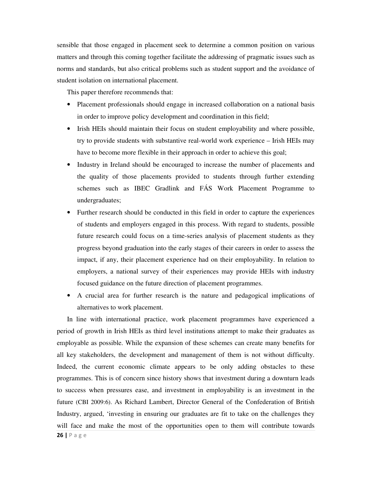sensible that those engaged in placement seek to determine a common position on various matters and through this coming together facilitate the addressing of pragmatic issues such as norms and standards, but also critical problems such as student support and the avoidance of student isolation on international placement.

This paper therefore recommends that:

- Placement professionals should engage in increased collaboration on a national basis in order to improve policy development and coordination in this field;
- Irish HEIs should maintain their focus on student employability and where possible, try to provide students with substantive real-world work experience – Irish HEIs may have to become more flexible in their approach in order to achieve this goal;
- Industry in Ireland should be encouraged to increase the number of placements and the quality of those placements provided to students through further extending schemes such as IBEC Gradlink and FÁS Work Placement Programme to undergraduates;
- Further research should be conducted in this field in order to capture the experiences of students and employers engaged in this process. With regard to students, possible future research could focus on a time-series analysis of placement students as they progress beyond graduation into the early stages of their careers in order to assess the impact, if any, their placement experience had on their employability. In relation to employers, a national survey of their experiences may provide HEIs with industry focused guidance on the future direction of placement programmes.
- A crucial area for further research is the nature and pedagogical implications of alternatives to work placement.

26 | P a g e In line with international practice, work placement programmes have experienced a period of growth in Irish HEIs as third level institutions attempt to make their graduates as employable as possible. While the expansion of these schemes can create many benefits for all key stakeholders, the development and management of them is not without difficulty. Indeed, the current economic climate appears to be only adding obstacles to these programmes. This is of concern since history shows that investment during a downturn leads to success when pressures ease, and investment in employability is an investment in the future (CBI 2009:6). As Richard Lambert, Director General of the Confederation of British Industry, argued, 'investing in ensuring our graduates are fit to take on the challenges they will face and make the most of the opportunities open to them will contribute towards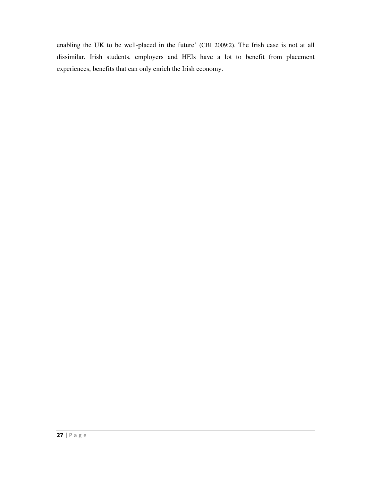enabling the UK to be well-placed in the future' (CBI 2009:2). The Irish case is not at all dissimilar. Irish students, employers and HEIs have a lot to benefit from placement experiences, benefits that can only enrich the Irish economy.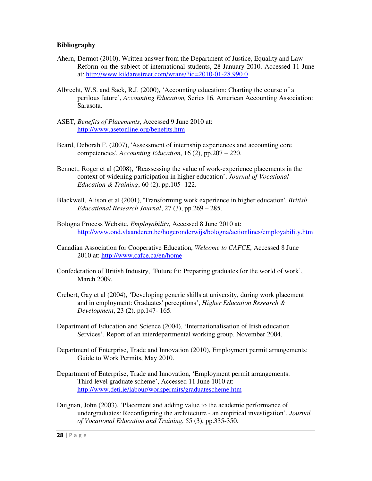## **Bibliography**

- Ahern, Dermot (2010), Written answer from the Department of Justice, Equality and Law Reform on the subject of international students, 28 January 2010. Accessed 11 June at: http://www.kildarestreet.com/wrans/?id=2010-01-28.990.0
- Albrecht, W.S. and Sack, R.J. (2000), 'Accounting education: Charting the course of a perilous future', *Accounting Education,* Series 16, American Accounting Association: Sarasota.
- ASET, *Benefits of Placements*, Accessed 9 June 2010 at: http://www.asetonline.org/benefits.htm
- Beard, Deborah F. (2007), 'Assessment of internship experiences and accounting core competencies', *Accounting Education*, 16 (2), pp.207 – 220.
- Bennett, Roger et al (2008), 'Reassessing the value of work-experience placements in the context of widening participation in higher education', *Journal of Vocational Education & Training*, 60 (2), pp.105- 122.
- Blackwell, Alison et al (2001), 'Transforming work experience in higher education', *British Educational Research Journal*, 27 (3), pp.269 – 285.
- Bologna Process Website, *Employability*, Accessed 8 June 2010 at: http://www.ond.vlaanderen.be/hogeronderwijs/bologna/actionlines/employability.htm
- Canadian Association for Cooperative Education, *Welcome to CAFCE*, Accessed 8 June 2010 at: http://www.cafce.ca/en/home
- Confederation of British Industry, 'Future fit: Preparing graduates for the world of work', March 2009.
- Crebert, Gay et al (2004), 'Developing generic skills at university, during work placement and in employment: Graduates' perceptions', *Higher Education Research & Development*, 23 (2), pp.147- 165.
- Department of Education and Science (2004), 'Internationalisation of Irish education Services', Report of an interdepartmental working group, November 2004.
- Department of Enterprise, Trade and Innovation (2010), Employment permit arrangements: Guide to Work Permits, May 2010.
- Department of Enterprise, Trade and Innovation, 'Employment permit arrangements: Third level graduate scheme', Accessed 11 June 1010 at: http://www.deti.ie/labour/workpermits/graduatescheme.htm
- Duignan, John (2003), 'Placement and adding value to the academic performance of undergraduates: Reconfiguring the architecture - an empirical investigation', *Journal of Vocational Education and Training*, 55 (3), pp.335-350.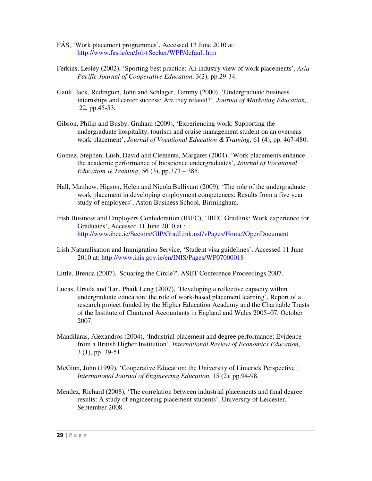- FÁS, 'Work placement programmes', Accessed 13 June 2010 at: http://www.fas.ie/en/Job+Seeker/WPP/default.htm
- Ferkins, Lesley (2002), 'Sporting best practice: An industry view of work placements', *Asia- Pacific Journal of Cooperative Education*, 3(2), pp.29-34.
- Gault, Jack, Redington, John and Schlager, Tammy (2000), 'Undergraduate business internships and career success: Are they related?', *Journal of Marketing Education,*  22, pp.45-53.
- Gibson, Philip and Busby, Graham (2009), 'Experiencing work: Supporting the undergraduate hospitality, tourism and cruise management student on an overseas work placement', *Journal of Vocational Education & Training*, 61 (4), pp. 467-480.
- Gomez, Stephen, Lush, David and Clements, Margaret (2004), 'Work placements enhance the academic performance of bioscience undergraduates', *Journal of Vocational Education & Training*, 56 (3), pp.373 – 385.
- Hall, Matthew, Higson, Helen and Nicola Bullivant (2009), 'The role of the undergraduate work placement in developing employment competences: Results from a five year study of employers', Aston Business School, Birmingham.
- Irish Business and Employers Confederation (IBEC), 'IBEC Gradlink: Work experience for Graduates', Accessed 11 June 2010 at : http://www.ibec.ie/Sectors/GIP/GradLink.nsf/vPages/Home?OpenDocument
- Irish Naturalisation and Immigration Service, 'Student visa guidelines', Accessed 11 June 2010 at: http://www.inis.gov.ie/en/INIS/Pages/WP07000018
- Little, Brenda (2007), 'Squaring the Circle?', ASET Conference Proceedings 2007.
- Lucas, Ursula and Tan, Phaik Leng (2007), 'Developing a reflective capacity within undergraduate education: the role of work-based placement learning', Report of a research project funded by the Higher Education Academy and the Charitable Trusts of the Institute of Chartered Accountants in England and Wales 2005–07, October 2007.
- Mandilaras, Alexandros (2004), 'Industrial placement and degree performance: Evidence from a British Higher Institution', *International Review of Economics Education*, 3 (1), pp. 39-51.
- McGinn, John (1999), 'Cooperative Education: the University of Limerick Perspective', *International Journal of Engineering Education*, 15 (2), pp.94-98.
- Mendez, Richard (2008), 'The correlation between industrial placements and final degree results: A study of engineering placement students', University of Leicester, ` September 2008.